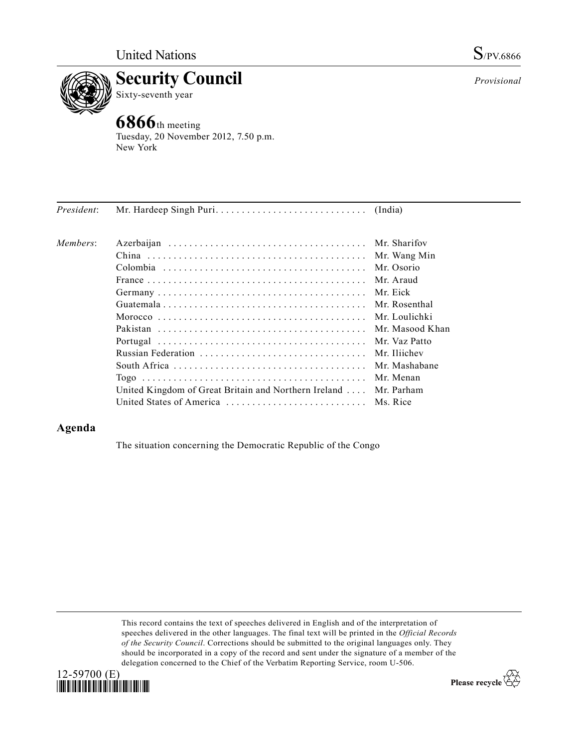



Tuesday, 20 November 2012, 7.50 p.m. New York

| Members:                                                                   | Mr. Wang Min    |
|----------------------------------------------------------------------------|-----------------|
|                                                                            |                 |
|                                                                            |                 |
| Mr. Osorio                                                                 |                 |
| Mr. Araud                                                                  |                 |
| Mr Eick                                                                    |                 |
|                                                                            | Mr. Rosenthal   |
|                                                                            |                 |
|                                                                            | Mr. Masood Khan |
|                                                                            | Mr. Vaz Patto   |
| Mr. Iliichev<br>Russian Federation                                         |                 |
|                                                                            | Mr. Mashabane   |
| Mr. Menan                                                                  |                 |
| United Kingdom of Great Britain and Northern Ireland $\dots$<br>Mr. Parham |                 |
| Ms. Rice                                                                   |                 |

## **Agenda**

The situation concerning the Democratic Republic of the Congo

This record contains the text of speeches delivered in English and of the interpretation of speeches delivered in the other languages. The final text will be printed in the *Official Records of the Security Council*. Corrections should be submitted to the original languages only. They should be incorporated in a copy of the record and sent under the signature of a member of the delegation concerned to the Chief of the Verbatim Reporting Service, room U-506.



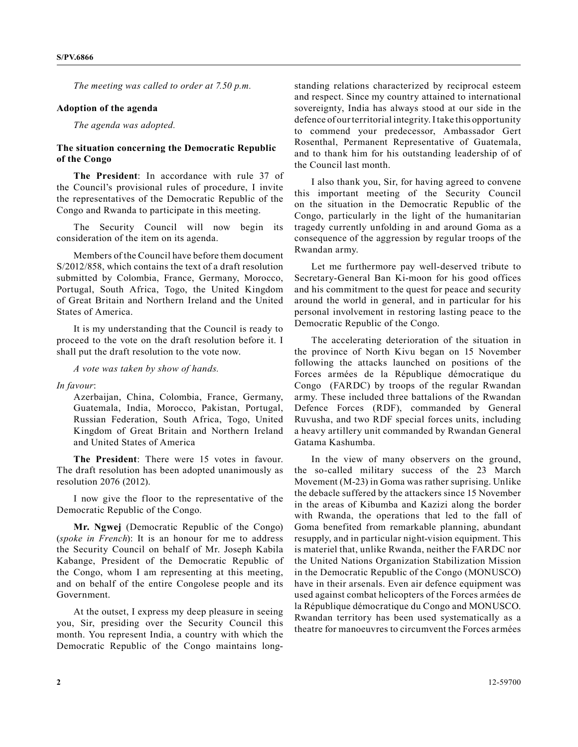*The meeting was called to order at 7.50 p.m.*

## **Adoption of the agenda**

*The agenda was adopted.*

## **The situation concerning the Democratic Republic of the Congo**

**The President**: In accordance with rule 37 of the Council's provisional rules of procedure, I invite the representatives of the Democratic Republic of the Congo and Rwanda to participate in this meeting.

The Security Council will now begin its consideration of the item on its agenda.

Members of the Council have before them document S/2012/858, which contains the text of a draft resolution submitted by Colombia, France, Germany, Morocco, Portugal, South Africa, Togo, the United Kingdom of Great Britain and Northern Ireland and the United States of America.

It is my understanding that the Council is ready to proceed to the vote on the draft resolution before it. I shall put the draft resolution to the vote now.

*A vote was taken by show of hands.*

*In favour*:

Azerbaijan, China, Colombia, France, Germany, Guatemala, India, Morocco, Pakistan, Portugal, Russian Federation, South Africa, Togo, United Kingdom of Great Britain and Northern Ireland and United States of America

**The President**: There were 15 votes in favour. The draft resolution has been adopted unanimously as resolution 2076 (2012).

I now give the floor to the representative of the Democratic Republic of the Congo.

**Mr. Ngwej** (Democratic Republic of the Congo) (*spoke in French*): It is an honour for me to address the Security Council on behalf of Mr. Joseph Kabila Kabange, President of the Democratic Republic of the Congo, whom I am representing at this meeting, and on behalf of the entire Congolese people and its Government.

At the outset, I express my deep pleasure in seeing you, Sir, presiding over the Security Council this month. You represent India, a country with which the Democratic Republic of the Congo maintains longstanding relations characterized by reciprocal esteem and respect. Since my country attained to international sovereignty, India has always stood at our side in the defence of our territorial integrity. I take this opportunity to commend your predecessor, Ambassador Gert Rosenthal, Permanent Representative of Guatemala, and to thank him for his outstanding leadership of of the Council last month.

I also thank you, Sir, for having agreed to convene this important meeting of the Security Council on the situation in the Democratic Republic of the Congo, particularly in the light of the humanitarian tragedy currently unfolding in and around Goma as a consequence of the aggression by regular troops of the Rwandan army.

Let me furthermore pay well-deserved tribute to Secretary-General Ban Ki-moon for his good offices and his commitment to the quest for peace and security around the world in general, and in particular for his personal involvement in restoring lasting peace to the Democratic Republic of the Congo.

The accelerating deterioration of the situation in the province of North Kivu began on 15 November following the attacks launched on positions of the Forces armées de la République démocratique du Congo (FARDC) by troops of the regular Rwandan army. These included three battalions of the Rwandan Defence Forces (RDF), commanded by General Ruvusha, and two RDF special forces units, including a heavy artillery unit commanded by Rwandan General Gatama Kashumba.

In the view of many observers on the ground, the so-called military success of the 23 March Movement (M-23) in Goma was rather suprising. Unlike the debacle suffered by the attackers since 15 November in the areas of Kibumba and Kazizi along the border with Rwanda, the operations that led to the fall of Goma benefited from remarkable planning, abundant resupply, and in particular night-vision equipment. This is materiel that, unlike Rwanda, neither the FARDC nor the United Nations Organization Stabilization Mission in the Democratic Republic of the Congo (MONUSCO) have in their arsenals. Even air defence equipment was used against combat helicopters of the Forces armées de la République démocratique du Congo and MONUSCO. Rwandan territory has been used systematically as a theatre for manoeuvres to circumvent the Forces armées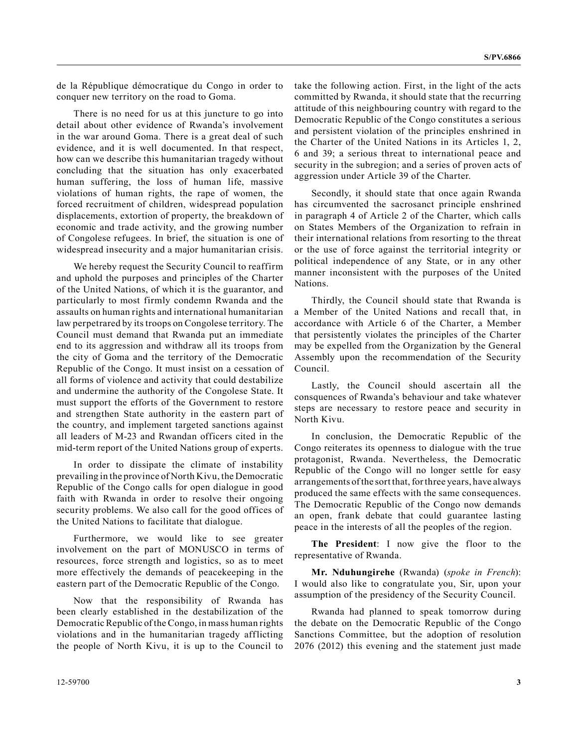de la République démocratique du Congo in order to conquer new territory on the road to Goma.

There is no need for us at this juncture to go into detail about other evidence of Rwanda's involvement in the war around Goma. There is a great deal of such evidence, and it is well documented. In that respect, how can we describe this humanitarian tragedy without concluding that the situation has only exacerbated human suffering, the loss of human life, massive violations of human rights, the rape of women, the forced recruitment of children, widespread population displacements, extortion of property, the breakdown of economic and trade activity, and the growing number of Congolese refugees. In brief, the situation is one of widespread insecurity and a major humanitarian crisis.

We hereby request the Security Council to reaffirm and uphold the purposes and principles of the Charter of the United Nations, of which it is the guarantor, and particularly to most firmly condemn Rwanda and the assaults on human rights and international humanitarian law perpetrared by its troops on Congolese territory. The Council must demand that Rwanda put an immediate end to its aggression and withdraw all its troops from the city of Goma and the territory of the Democratic Republic of the Congo. It must insist on a cessation of all forms of violence and activity that could destabilize and undermine the authority of the Congolese State. It must support the efforts of the Government to restore and strengthen State authority in the eastern part of the country, and implement targeted sanctions against all leaders of M-23 and Rwandan officers cited in the mid-term report of the United Nations group of experts.

In order to dissipate the climate of instability prevailing in the province of North Kivu, the Democratic Republic of the Congo calls for open dialogue in good faith with Rwanda in order to resolve their ongoing security problems. We also call for the good offices of the United Nations to facilitate that dialogue.

Furthermore, we would like to see greater involvement on the part of MONUSCO in terms of resources, force strength and logistics, so as to meet more effectively the demands of peacekeeping in the eastern part of the Democratic Republic of the Congo.

Now that the responsibility of Rwanda has been clearly established in the destabilization of the Democratic Republic of the Congo, in mass human rights violations and in the humanitarian tragedy afflicting the people of North Kivu, it is up to the Council to take the following action. First, in the light of the acts committed by Rwanda, it should state that the recurring attitude of this neighbouring country with regard to the Democratic Republic of the Congo constitutes a serious and persistent violation of the principles enshrined in the Charter of the United Nations in its Articles 1, 2, 6 and 39; a serious threat to international peace and security in the subregion; and a series of proven acts of aggression under Article 39 of the Charter.

Secondly, it should state that once again Rwanda has circumvented the sacrosanct principle enshrined in paragraph 4 of Article 2 of the Charter, which calls on States Members of the Organization to refrain in their international relations from resorting to the threat or the use of force against the territorial integrity or political independence of any State, or in any other manner inconsistent with the purposes of the United Nations.

Thirdly, the Council should state that Rwanda is a Member of the United Nations and recall that, in accordance with Article 6 of the Charter, a Member that persistently violates the principles of the Charter may be expelled from the Organization by the General Assembly upon the recommendation of the Security Council.

Lastly, the Council should ascertain all the consquences of Rwanda's behaviour and take whatever steps are necessary to restore peace and security in North Kivu.

In conclusion, the Democratic Republic of the Congo reiterates its openness to dialogue with the true protagonist, Rwanda. Nevertheless, the Democratic Republic of the Congo will no longer settle for easy arrangements of the sort that, for three years, have always produced the same effects with the same consequences. The Democratic Republic of the Congo now demands an open, frank debate that could guarantee lasting peace in the interests of all the peoples of the region.

**The President**: I now give the floor to the representative of Rwanda.

**Mr. Nduhungirehe** (Rwanda) (*spoke in French*): I would also like to congratulate you, Sir, upon your assumption of the presidency of the Security Council.

Rwanda had planned to speak tomorrow during the debate on the Democratic Republic of the Congo Sanctions Committee, but the adoption of resolution 2076 (2012) this evening and the statement just made